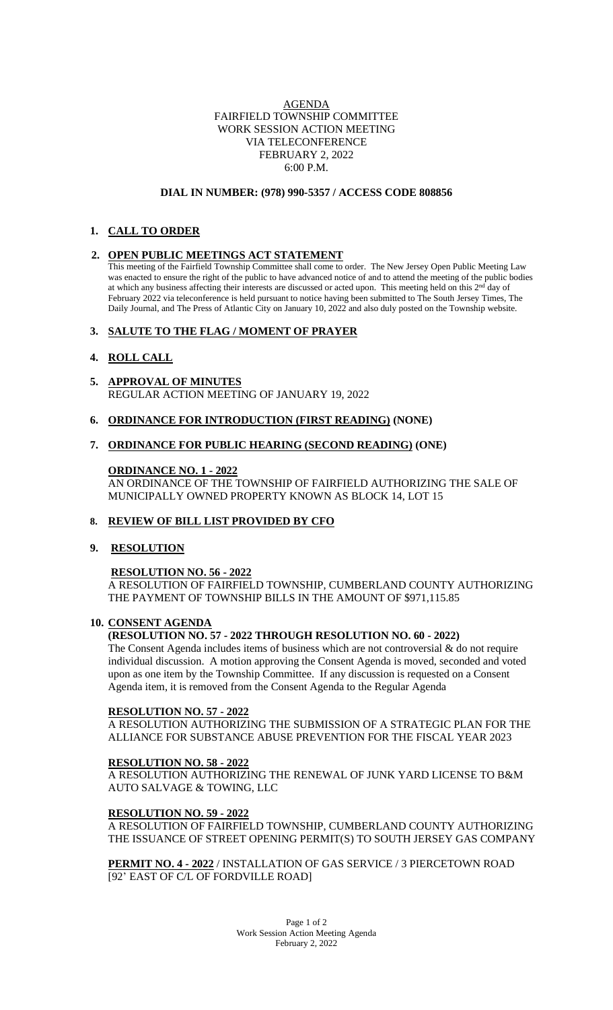## AGENDA FAIRFIELD TOWNSHIP COMMITTEE WORK SESSION ACTION MEETING VIA TELECONFERENCE FEBRUARY 2, 2022 6:00 P.M.

### **DIAL IN NUMBER: (978) 990-5357 / ACCESS CODE 808856**

# **1. CALL TO ORDER**

## **2. OPEN PUBLIC MEETINGS ACT STATEMENT**

This meeting of the Fairfield Township Committee shall come to order. The New Jersey Open Public Meeting Law was enacted to ensure the right of the public to have advanced notice of and to attend the meeting of the public bodies at which any business affecting their interests are discussed or acted upon. This meeting held on this  $2<sup>nd</sup>$  day of February 2022 via teleconference is held pursuant to notice having been submitted to The South Jersey Times, The Daily Journal, and The Press of Atlantic City on January 10, 2022 and also duly posted on the Township website.

## **3. SALUTE TO THE FLAG / MOMENT OF PRAYER**

## **4. ROLL CALL**

- **5. APPROVAL OF MINUTES** REGULAR ACTION MEETING OF JANUARY 19, 2022
- **6. ORDINANCE FOR INTRODUCTION (FIRST READING) (NONE)**

## **7. ORDINANCE FOR PUBLIC HEARING (SECOND READING) (ONE)**

## **ORDINANCE NO. 1 - 2022**

AN ORDINANCE OF THE TOWNSHIP OF FAIRFIELD AUTHORIZING THE SALE OF MUNICIPALLY OWNED PROPERTY KNOWN AS BLOCK 14, LOT 15

## **8. REVIEW OF BILL LIST PROVIDED BY CFO**

# **9. RESOLUTION**

## **RESOLUTION NO. 56 - 2022**

A RESOLUTION OF FAIRFIELD TOWNSHIP, CUMBERLAND COUNTY AUTHORIZING THE PAYMENT OF TOWNSHIP BILLS IN THE AMOUNT OF \$971,115.85

## **10. CONSENT AGENDA**

## **(RESOLUTION NO. 57 - 2022 THROUGH RESOLUTION NO. 60 - 2022)**

The Consent Agenda includes items of business which are not controversial  $\&$  do not require individual discussion. A motion approving the Consent Agenda is moved, seconded and voted upon as one item by the Township Committee. If any discussion is requested on a Consent Agenda item, it is removed from the Consent Agenda to the Regular Agenda

# **RESOLUTION NO. 57 - 2022**

A RESOLUTION AUTHORIZING THE SUBMISSION OF A STRATEGIC PLAN FOR THE ALLIANCE FOR SUBSTANCE ABUSE PREVENTION FOR THE FISCAL YEAR 2023

# **RESOLUTION NO. 58 - 2022**

A RESOLUTION AUTHORIZING THE RENEWAL OF JUNK YARD LICENSE TO B&M AUTO SALVAGE & TOWING, LLC

## **RESOLUTION NO. 59 - 2022**

A RESOLUTION OF FAIRFIELD TOWNSHIP, CUMBERLAND COUNTY AUTHORIZING THE ISSUANCE OF STREET OPENING PERMIT(S) TO SOUTH JERSEY GAS COMPANY

**PERMIT NO. 4 - 2022** / INSTALLATION OF GAS SERVICE / 3 PIERCETOWN ROAD [92' EAST OF C/L OF FORDVILLE ROAD]